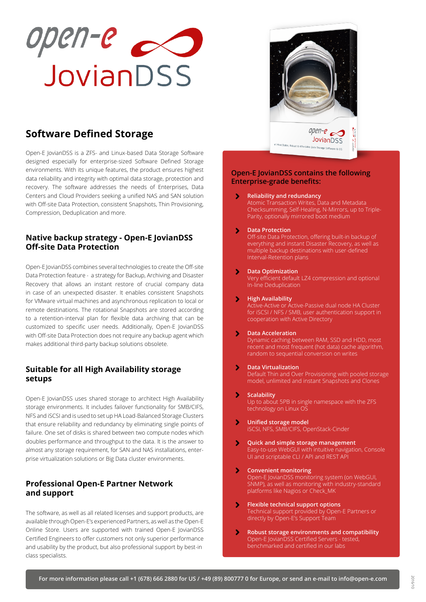

# **Software Defined Storage**

Open-E JovianDSS is a ZFS- and Linux-based Data Storage Software designed especially for enterprise-sized Software Defined Storage environments. With its unique features, the product ensures highest data reliability and integrity with optimal data storage, protection and recovery. The software addresses the needs of Enterprises, Data Centers and Cloud Providers seeking a unified NAS and SAN solution with Off-site Data Protection, consistent Snapshots, Thin Provisioning, Compression, Deduplication and more.

## **Native backup strategy - Open-E JovianDSS Off-site Data Protection**

Open-E JovianDSS combines several technologies to create the Off-site Data Protection feature - a strategy for Backup, Archiving and Disaster Recovery that allows an instant restore of crucial company data in case of an unexpected disaster. It enables consistent Snapshots for VMware virtual machines and asynchronous replication to local or remote destinations. The rotational Snapshots are stored according to a retention-interval plan for flexible data archiving that can be customized to specific user needs. Additionally, Open-E JovianDSS with Off-site Data Protection does not require any backup agent which makes additional third-party backup solutions obsolete.

## **Suitable for all High Availability storage setups**

Open-E JovianDSS uses shared storage to architect High Availability storage environments. It includes failover functionality for SMB/CIFS, NFS and iSCSI and is used to set up HA Load-Balanced Storage Clusters that ensure reliability and redundancy by eliminating single points of failure. One set of disks is shared between two compute nodes which doubles performance and throughput to the data. It is the answer to almost any storage requirement, for SAN and NAS installations, enterprise virtualization solutions or Big Data cluster environments.

## **Professional Open-E Partner Network and support**

The software, as well as all related licenses and support products, are available through Open-E's experienced Partners, as well as the Open-E Online Store. Users are supported with trained Open-E JovianDSS Certified Engineers to offer customers not only superior performance and usability by the product, but also professional support by best-in class specialists.



### **Open-E JovianDSS contains the following Enterprise-grade benefits:**

**Reliability and redundancy**  $\blacktriangleright$ 

Atomic Transaction Writes, Data and Metadata Checksumming, Self-Healing, N-Mirrors, up to Triple-Parity, optionally mirrored boot medium

### $\blacktriangleright$ **Data Protection**

Off-site Data Protection, offering built-in backup of everything and instant Disaster Recovery, as well as multiple backup destinations with user-defined Interval-Retention plans

 $\blacktriangleright$ **Data Optimization**

Very efficient default LZ4 compression and optional In-line Deduplication

 $\blacktriangleright$ **High Availability**

Active-Active or Active-Passive dual node HA Cluster for iSCSI / NFS / SMB, user authentication support in cooperation with Active Directory

#### $\blacktriangleright$ **Data Acceleration**

Dynamic caching between RAM, SSD and HDD, most recent and most frequent (hot data) cache algorithm, random to sequential conversion on writes

 $\blacktriangleright$ **Data Virtualization**

Default Thin and Over Provisioning with pooled storage model, unlimited and instant Snapshots and Clones

 $\blacktriangleright$ **Scalability**

Up to about 5PB in single namespace with the ZFS technology on Linux OS

- $\blacktriangleright$ **Unified storage model** iSCSI, NFS, SMB/CIFS, OpenStack-Cinder
- $\blacktriangleright$ **Quick and simple storage management**  Easy-to-use WebGUI with intuitive navigation, Console UI and scriptable CLI / API and REST API
- $\blacktriangleright$ **Convenient monitoring**  Open-E JovianDSS monitoring system (on WebGUI, SNMP), as well as monitoring with industry-standard platforms like Nagios or Check\_MK
- **Flexible technical support options**  $\blacktriangleright$ Technical support provided by Open-E Partners or directly by Open-E's Support Team
- $\blacktriangleright$ **Robust storage environments and compatibility**  Open-E JovianDSS Certified Servers - tested, benchmarked and certified in our labs